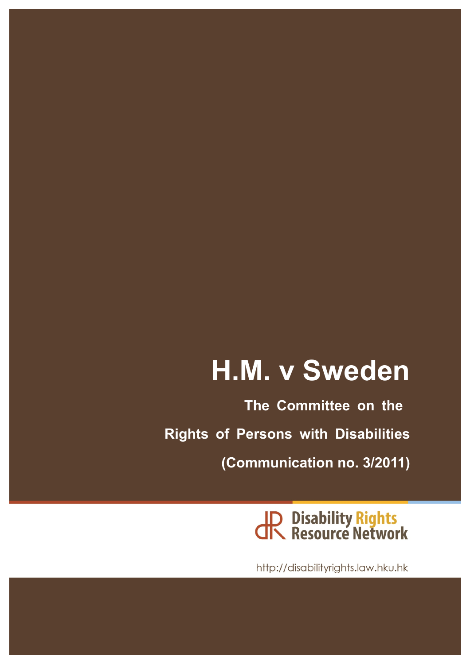# **H.M. v Sweden**

**The Committee on the Rights of Persons with Disabilities (Communication no. 3/2011)**

JR Disability Rights<br>JR Resource Network

http://disabilityrights.law.hku.hk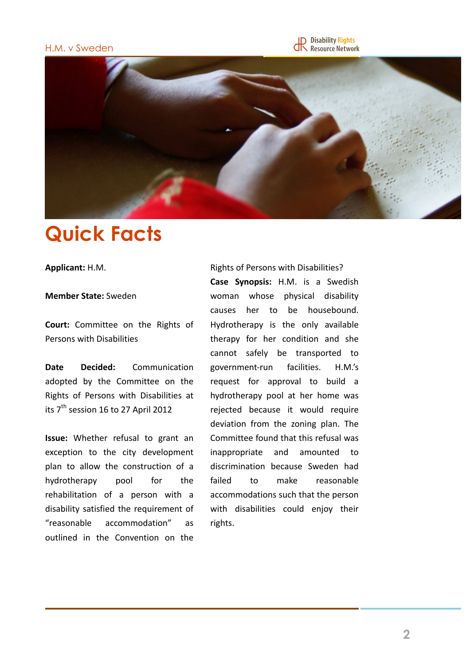#### H.M. v Sweden





# **Quick Facts**

**Applicant:** H.M.

#### **Member State:** Sweden

**Court:** Committee on the Rights of Persons with Disabilities

**Date Decided:** Communication adopted by the Committee on the Rights of Persons with Disabilities at its  $7<sup>th</sup>$  session 16 to 27 April 2012

**Issue:** Whether refusal to grant an exception to the city development plan to allow the construction of a hydrotherapy pool for the rehabilitation of a person with a disability satisfied the requirement of "reasonable accommodation" as outlined in the Convention on the

Rights of Persons with Disabilities? **Case Synopsis:** H.M. is a Swedish woman whose physical disability causes her to be housebound. Hydrotherapy is the only available therapy for her condition and she cannot safely be transported to government-run facilities. H.M.'s request for approval to build a hydrotherapy pool at her home was rejected because it would require deviation from the zoning plan. The Committee found that this refusal was inappropriate and amounted to discrimination because Sweden had failed to make reasonable accommodations such that the person with disabilities could enjoy their rights.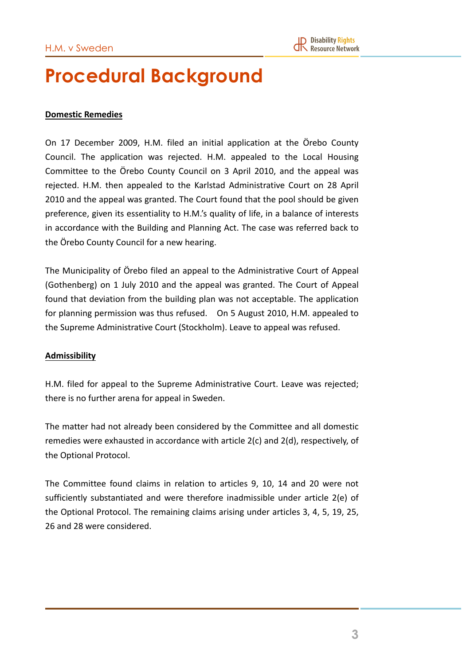### **Procedural Background**

#### **Domestic Remedies**

On 17 December 2009, H.M. filed an initial application at the Örebo County Council. The application was rejected. H.M. appealed to the Local Housing Committee to the Örebo County Council on 3 April 2010, and the appeal was rejected. H.M. then appealed to the Karlstad Administrative Court on 28 April 2010 and the appeal was granted. The Court found that the pool should be given preference, given its essentiality to H.M.'s quality of life, in a balance of interests in accordance with the Building and Planning Act. The case was referred back to the Örebo County Council for a new hearing.

The Municipality of Örebo filed an appeal to the Administrative Court of Appeal (Gothenberg) on 1 July 2010 and the appeal was granted. The Court of Appeal found that deviation from the building plan was not acceptable. The application for planning permission was thus refused. On 5 August 2010, H.M. appealed to the Supreme Administrative Court (Stockholm). Leave to appeal was refused.

#### **Admissibility**

H.M. filed for appeal to the Supreme Administrative Court. Leave was rejected; there is no further arena for appeal in Sweden.

The matter had not already been considered by the Committee and all domestic remedies were exhausted in accordance with article  $2(c)$  and  $2(d)$ , respectively, of the Optional Protocol.

The Committee found claims in relation to articles 9, 10, 14 and 20 were not sufficiently substantiated and were therefore inadmissible under article  $2(e)$  of the Optional Protocol. The remaining claims arising under articles 3, 4, 5, 19, 25, 26 and 28 were considered.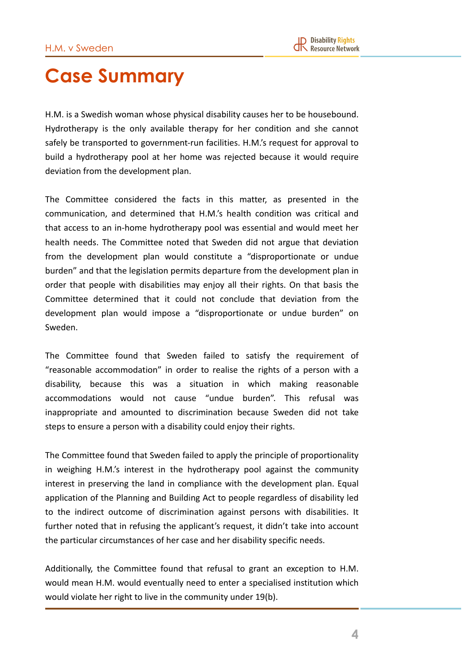### **Case Summary**

H.M. is a Swedish woman whose physical disability causes her to be housebound. Hydrotherapy is the only available therapy for her condition and she cannot safely be transported to government-run facilities. H.M.'s request for approval to build a hydrotherapy pool at her home was rejected because it would require deviation from the development plan.

The Committee considered the facts in this matter, as presented in the communication, and determined that H.M.'s health condition was critical and that access to an in-home hydrotherapy pool was essential and would meet her health needs. The Committee noted that Sweden did not argue that deviation from the development plan would constitute a "disproportionate or undue burden" and that the legislation permits departure from the development plan in order that people with disabilities may enjoy all their rights. On that basis the Committee determined that it could not conclude that deviation from the development plan would impose a "disproportionate or undue burden" on Sweden. 

The Committee found that Sweden failed to satisfy the requirement of "reasonable accommodation" in order to realise the rights of a person with a disability, because this was a situation in which making reasonable accommodations would not cause "undue burden". This refusal was inappropriate and amounted to discrimination because Sweden did not take steps to ensure a person with a disability could enjoy their rights.

The Committee found that Sweden failed to apply the principle of proportionality in weighing H.M.'s interest in the hydrotherapy pool against the community interest in preserving the land in compliance with the development plan. Equal application of the Planning and Building Act to people regardless of disability led to the indirect outcome of discrimination against persons with disabilities. It further noted that in refusing the applicant's request, it didn't take into account the particular circumstances of her case and her disability specific needs.

Additionally, the Committee found that refusal to grant an exception to H.M. would mean H.M. would eventually need to enter a specialised institution which would violate her right to live in the community under 19(b).